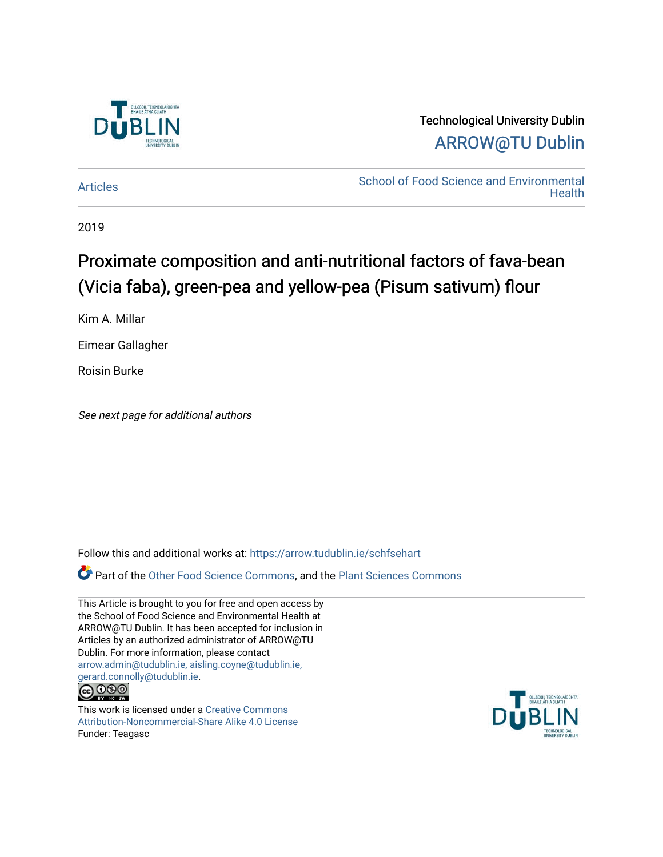

# Technological University Dublin [ARROW@TU Dublin](https://arrow.tudublin.ie/)

[Articles](https://arrow.tudublin.ie/schfsehart) **School of Food Science and Environmental Health** 

2019

# Proximate composition and anti-nutritional factors of fava-bean (Vicia faba), green-pea and yellow-pea (Pisum sativum) flour

Kim A. Millar

Eimear Gallagher

Roisin Burke

See next page for additional authors

Follow this and additional works at: [https://arrow.tudublin.ie/schfsehart](https://arrow.tudublin.ie/schfsehart?utm_source=arrow.tudublin.ie%2Fschfsehart%2F428&utm_medium=PDF&utm_campaign=PDFCoverPages) 

**P** Part of the [Other Food Science Commons,](http://network.bepress.com/hgg/discipline/89?utm_source=arrow.tudublin.ie%2Fschfsehart%2F428&utm_medium=PDF&utm_campaign=PDFCoverPages) and the Plant Sciences Commons

This Article is brought to you for free and open access by the School of Food Science and Environmental Health at ARROW@TU Dublin. It has been accepted for inclusion in Articles by an authorized administrator of ARROW@TU Dublin. For more information, please contact [arrow.admin@tudublin.ie, aisling.coyne@tudublin.ie,](mailto:arrow.admin@tudublin.ie,%20aisling.coyne@tudublin.ie,%20gerard.connolly@tudublin.ie)  [gerard.connolly@tudublin.ie](mailto:arrow.admin@tudublin.ie,%20aisling.coyne@tudublin.ie,%20gerard.connolly@tudublin.ie).<br>@090

This work is licensed under a [Creative Commons](http://creativecommons.org/licenses/by-nc-sa/4.0/) [Attribution-Noncommercial-Share Alike 4.0 License](http://creativecommons.org/licenses/by-nc-sa/4.0/) Funder: Teagasc

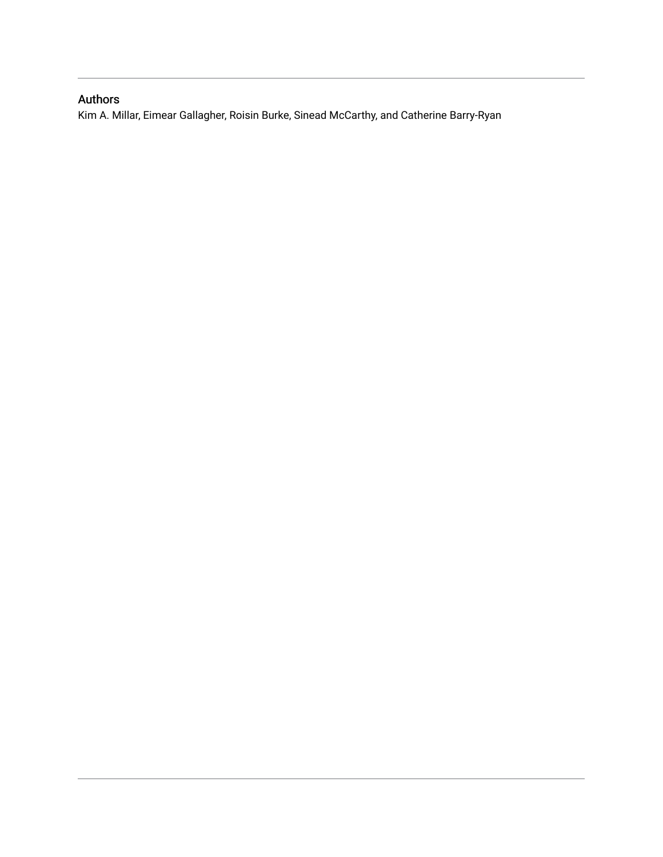# Authors

Kim A. Millar, Eimear Gallagher, Roisin Burke, Sinead McCarthy, and Catherine Barry-Ryan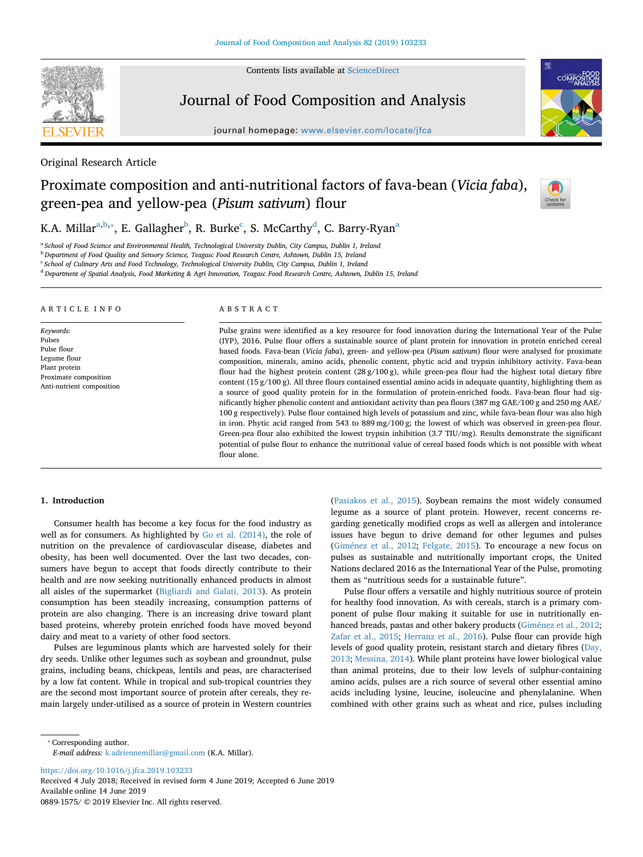Contents lists available at [ScienceDirect](http://www.sciencedirect.com/science/journal/08891575)



## Journal of Food Composition and Analysis

journal homepage: [www.elsevier.com/locate/jfca](https://www.elsevier.com/locate/jfca)



### Original Research Article

# Proximate composition and anti-nutritional factors of fava-bean (*Vicia faba*), green-pea and yellow-pea (*Pisum sativum*) flour



K.A. Mill[a](#page-2-0)r $\mathrm{^{a,b,*}}$  $\mathrm{^{a,b,*}}$  $\mathrm{^{a,b,*}}$ , E. Gallagher $\mathrm{^{b}}$ , R. Burke $\mathrm{^{c}}$  $\mathrm{^{c}}$  $\mathrm{^{c}}$ , S. McCarthy $\mathrm{^{d}}$  $\mathrm{^{d}}$  $\mathrm{^{d}}$ , C. Barry-Ryan $\mathrm{^{a}}$ 

<span id="page-2-0"></span><sup>a</sup> *School of Food Science and Environmental Health, Technological University Dublin, City Campus, Dublin 1, Ireland*

<span id="page-2-1"></span><sup>b</sup> *Department of Food Quality and Sensory Science, Teagasc Food Research Centre, Ashtown, Dublin 15, Ireland*

<span id="page-2-3"></span><sup>c</sup> *School of Culinary Arts and Food Technology, Technological University Dublin, City Campus, Dublin 1, Ireland*

<span id="page-2-4"></span><sup>d</sup> *Department of Spatial Analysis, Food Marketing & Agri Innovation, Teagasc Food Research Centre, Ashtown, Dublin 15, Ireland*

#### ARTICLE INFO

*Keywords:* Pulses Pulse flour Legume flour Plant protein Proximate composition Anti-nutrient composition

#### ABSTRACT

Pulse grains were identified as a key resource for food innovation during the International Year of the Pulse (IYP), 2016. Pulse flour offers a sustainable source of plant protein for innovation in protein enriched cereal based foods. Fava-bean (*Vicia faba*), green- and yellow-pea (*Pisum sativum*) flour were analysed for proximate composition, minerals, amino acids, phenolic content, phytic acid and trypsin inhibitory activity. Fava-bean flour had the highest protein content (28 g/100 g), while green-pea flour had the highest total dietary fibre content (15  $g/100 g$ ). All three flours contained essential amino acids in adequate quantity, highlighting them as a source of good quality protein for in the formulation of protein-enriched foods. Fava-bean flour had significantly higher phenolic content and antioxidant activity than pea flours (387 mg GAE/100 g and 250 mg AAE/ 100 g respectively). Pulse flour contained high levels of potassium and zinc, while fava-bean flour was also high in iron. Phytic acid ranged from 543 to 889 mg/100 g; the lowest of which was observed in green-pea flour. Green-pea flour also exhibited the lowest trypsin inhibition (3.7 TIU/mg). Results demonstrate the significant potential of pulse flour to enhance the nutritional value of cereal based foods which is not possible with wheat flour alone.

#### **1. Introduction**

Consumer health has become a key focus for the food industry as well as for consumers. As highlighted by [Go et al. \(2014\),](#page-8-0) the role of nutrition on the prevalence of cardiovascular disease, diabetes and obesity, has been well documented. Over the last two decades, consumers have begun to accept that foods directly contribute to their health and are now seeking nutritionally enhanced products in almost all aisles of the supermarket ([Bigliardi and Galati, 2013\)](#page-7-0). As protein consumption has been steadily increasing, consumption patterns of protein are also changing. There is an increasing drive toward plant based proteins, whereby protein enriched foods have moved beyond dairy and meat to a variety of other food sectors.

Pulses are leguminous plants which are harvested solely for their dry seeds. Unlike other legumes such as soybean and groundnut, pulse grains, including beans, chickpeas, lentils and peas, are characterised by a low fat content. While in tropical and sub-tropical countries they are the second most important source of protein after cereals, they remain largely under-utilised as a source of protein in Western countries

([Pasiakos et al., 2015\)](#page-8-1). Soybean remains the most widely consumed legume as a source of plant protein. However, recent concerns regarding genetically modified crops as well as allergen and intolerance issues have begun to drive demand for other legumes and pulses ([Giménez et al., 2012;](#page-8-2) [Felgate, 2015\)](#page-8-3). To encourage a new focus on pulses as sustainable and nutritionally important crops, the United Nations declared 2016 as the International Year of the Pulse, promoting them as "nutritious seeds for a sustainable future".

Pulse flour offers a versatile and highly nutritious source of protein for healthy food innovation. As with cereals, starch is a primary component of pulse flour making it suitable for use in nutritionally enhanced breads, pastas and other bakery products ([Giménez et al., 2012](#page-8-2); [Zafar et al., 2015](#page-9-0); [Herranz et al., 2016](#page-8-4)). Pulse flour can provide high levels of good quality protein, resistant starch and dietary fibres ([Day,](#page-8-5) [2013;](#page-8-5) [Messina, 2014\)](#page-8-6). While plant proteins have lower biological value than animal proteins, due to their low levels of sulphur-containing amino acids, pulses are a rich source of several other essential amino acids including lysine, leucine, isoleucine and phenylalanine. When combined with other grains such as wheat and rice, pulses including

<span id="page-2-2"></span>⁎ Corresponding author.

*E-mail address:* [k.adriennemillar@gmail.com](mailto:k.adriennemillar@gmail.com) (K.A. Millar).

<https://doi.org/10.1016/j.jfca.2019.103233>

Received 4 July 2018; Received in revised form 4 June 2019; Accepted 6 June 2019 Available online 14 June 2019

0889-1575/ © 2019 Elsevier Inc. All rights reserved.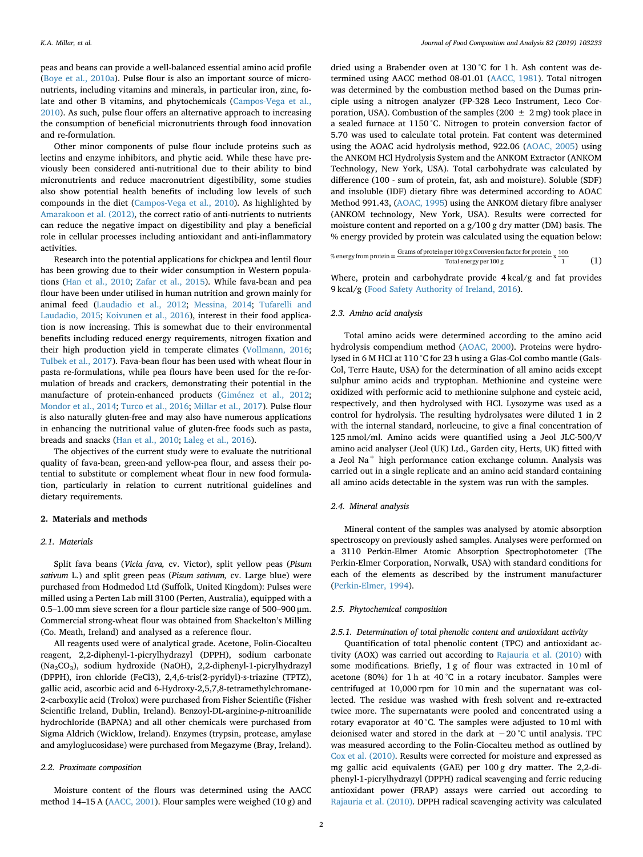peas and beans can provide a well-balanced essential amino acid profile ([Boye et al., 2010a](#page-7-1)). Pulse flour is also an important source of micronutrients, including vitamins and minerals, in particular iron, zinc, folate and other B vitamins, and phytochemicals [\(Campos-Vega et al.,](#page-7-2) [2010\)](#page-7-2). As such, pulse flour offers an alternative approach to increasing the consumption of beneficial micronutrients through food innovation and re-formulation.

Other minor components of pulse flour include proteins such as lectins and enzyme inhibitors, and phytic acid. While these have previously been considered anti-nutritional due to their ability to bind micronutrients and reduce macronutrient digestibility, some studies also show potential health benefits of including low levels of such compounds in the diet ([Campos-Vega et al., 2010\)](#page-7-2). As highlighted by [Amarakoon et al. \(2012\)](#page-7-3), the correct ratio of anti-nutrients to nutrients can reduce the negative impact on digestibility and play a beneficial role in cellular processes including antioxidant and anti-inflammatory activities.

Research into the potential applications for chickpea and lentil flour has been growing due to their wider consumption in Western populations ([Han et al., 2010;](#page-8-7) [Zafar et al., 2015\)](#page-9-0). While fava-bean and pea flour have been under utilised in human nutrition and grown mainly for animal feed ([Laudadio et al., 2012;](#page-8-8) [Messina, 2014](#page-8-6); [Tufarelli and](#page-8-9) [Laudadio, 2015](#page-8-9); [Koivunen et al., 2016\)](#page-8-10), interest in their food application is now increasing. This is somewhat due to their environmental benefits including reduced energy requirements, nitrogen fixation and their high production yield in temperate climates [\(Vollmann, 2016](#page-8-11); [Tulbek et al., 2017](#page-8-12)). Fava-bean flour has been used with wheat flour in pasta re-formulations, while pea flours have been used for the re-formulation of breads and crackers, demonstrating their potential in the manufacture of protein-enhanced products ([Giménez et al., 2012](#page-8-2); [Mondor et al., 2014;](#page-8-13) [Turco et al., 2016](#page-8-14); [Millar et al., 2017](#page-8-15)). Pulse flour is also naturally gluten-free and may also have numerous applications in enhancing the nutritional value of gluten-free foods such as pasta, breads and snacks ([Han et al., 2010;](#page-8-7) [Laleg et al., 2016\)](#page-8-16).

The objectives of the current study were to evaluate the nutritional quality of fava-bean, green-and yellow-pea flour, and assess their potential to substitute or complement wheat flour in new food formulation, particularly in relation to current nutritional guidelines and dietary requirements.

#### **2. Materials and methods**

#### *2.1. Materials*

Split fava beans (*Vicia fava,* cv. Victor), split yellow peas (*Pisum sativum* L.) and split green peas (*Pisum sativum,* cv. Large blue) were purchased from Hodmedod Ltd (Suffolk, United Kingdom): Pulses were milled using a Perten Lab mill 3100 (Perten, Australia), equipped with a 0.5–1.00 mm sieve screen for a flour particle size range of 500–900 μm. Commercial strong-wheat flour was obtained from Shackelton's Milling (Co. Meath, Ireland) and analysed as a reference flour.

All reagents used were of analytical grade. Acetone, Folin-Ciocalteu reagent, 2,2-diphenyl-1-picrylhydrazyl (DPPH), sodium carbonate (Na2CO3), sodium hydroxide (NaOH), 2,2-diphenyl-1-picrylhydrazyl (DPPH), iron chloride (FeCl3), 2,4,6-tris(2-pyridyl)-s-triazine (TPTZ), gallic acid, ascorbic acid and 6-Hydroxy-2,5,7,8-tetramethylchromane-2-carboxylic acid (Trolox) were purchased from Fisher Scientific (Fisher Scientific Ireland, Dublin, Ireland). Benzoyl-DL-arginine-*p*-nitroanilide hydrochloride (BAPNA) and all other chemicals were purchased from Sigma Aldrich (Wicklow, Ireland). Enzymes (trypsin, protease, amylase and amyloglucosidase) were purchased from Megazyme (Bray, Ireland).

#### *2.2. Proximate composition*

Moisture content of the flours was determined using the AACC method 14–15 A ([AACC, 2001\)](#page-7-4). Flour samples were weighed (10 g) and

dried using a Brabender oven at 130 °C for 1 h. Ash content was determined using AACC method 08-01.01 ([AACC, 1981](#page-7-5)). Total nitrogen was determined by the combustion method based on the Dumas principle using a nitrogen analyzer (FP-328 Leco Instrument, Leco Corporation, USA). Combustion of the samples (200  $\pm$  2 mg) took place in a sealed furnace at 1150 °C. Nitrogen to protein conversion factor of 5.70 was used to calculate total protein. Fat content was determined using the AOAC acid hydrolysis method, 922.06 ([AOAC, 2005\)](#page-7-6) using the ANKOM HCl Hydrolysis System and the ANKOM Extractor (ANKOM Technology, New York, USA). Total carbohydrate was calculated by difference (100 - sum of protein, fat, ash and moisture). Soluble (SDF) and insoluble (IDF) dietary fibre was determined according to AOAC Method 991.43, ([AOAC, 1995\)](#page-7-7) using the ANKOM dietary fibre analyser (ANKOM technology, New York, USA). Results were corrected for moisture content and reported on a g/100 g dry matter (DM) basis. The % energy provided by protein was calculated using the equation below:

$$
\% energy from protein = \frac{Grams\ of\ protein\ per\ 100\ g\ x\ Conversion\ factor\ for\ protein\ x\ \frac{100}{1}}{Total\ energy\ per\ 100\ g} \times \frac{1}{1}
$$
 (1)

Where, protein and carbohydrate provide 4 kcal/g and fat provides 9 kcal/g ([Food Safety Authority of Ireland, 2016](#page-8-17)).

#### *2.3. Amino acid analysis*

Total amino acids were determined according to the amino acid hydrolysis compendium method [\(AOAC, 2000](#page-7-8)). Proteins were hydrolysed in 6 M HCl at 110 °C for 23 h using a Glas-Col combo mantle (Gals-Col, Terre Haute, USA) for the determination of all amino acids except sulphur amino acids and tryptophan. Methionine and cysteine were oxidized with performic acid to methionine sulphone and cysteic acid, respectively, and then hydrolysed with HCl. Lysozyme was used as a control for hydrolysis. The resulting hydrolysates were diluted 1 in 2 with the internal standard, norleucine, to give a final concentration of 125 nmol/ml. Amino acids were quantified using a Jeol JLC-500/V amino acid analyser (Jeol (UK) Ltd., Garden city, Herts, UK) fitted with a Jeol Na<sup>+</sup> high performance cation exchange column. Analysis was carried out in a single replicate and an amino acid standard containing all amino acids detectable in the system was run with the samples.

#### *2.4. Mineral analysis*

Mineral content of the samples was analysed by atomic absorption spectroscopy on previously ashed samples. Analyses were performed on a 3110 Perkin-Elmer Atomic Absorption Spectrophotometer (The Perkin-Elmer Corporation, Norwalk, USA) with standard conditions for each of the elements as described by the instrument manufacturer ([Perkin-Elmer, 1994\)](#page-8-18).

#### *2.5. Phytochemical composition*

#### *2.5.1. Determination of total phenolic content and antioxidant activity*

Quantification of total phenolic content (TPC) and antioxidant activity (AOX) was carried out according to [Rajauria et al. \(2010\)](#page-8-19) with some modifications. Briefly, 1 g of flour was extracted in 10 ml of acetone (80%) for 1 h at 40 °C in a rotary incubator. Samples were centrifuged at 10,000 rpm for 10 min and the supernatant was collected. The residue was washed with fresh solvent and re-extracted twice more. The supernatants were pooled and concentrated using a rotary evaporator at 40 °C. The samples were adjusted to 10 ml with deionised water and stored in the dark at −20 °C until analysis. TPC was measured according to the Folin-Ciocalteu method as outlined by [Cox et al. \(2010\)](#page-8-20). Results were corrected for moisture and expressed as mg gallic acid equivalents (GAE) per 100 g dry matter. The 2,2-diphenyl-1-picrylhydrazyl (DPPH) radical scavenging and ferric reducing antioxidant power (FRAP) assays were carried out according to [Rajauria et al. \(2010\)](#page-8-19). DPPH radical scavenging activity was calculated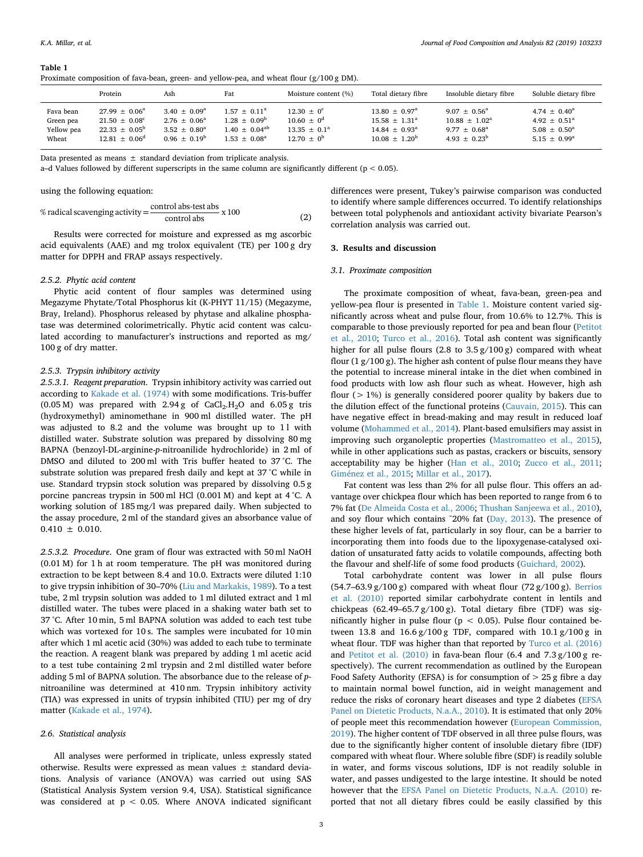<span id="page-4-0"></span>**Table 1**

*K.A. Millar, et al. Journal of Food Composition and Analysis 82 (2019) 103233*

|         |     |     | Proximate composition of fava-bean, green- and yellow-pea, and wheat flour $(g/100 g DM)$ . |                 |
|---------|-----|-----|---------------------------------------------------------------------------------------------|-----------------|
| Protein | Ash | Fat | Moisture content (%)                                                                        | Total dietary f |

|            | Protein                  | Ash                     | Fat                   | Moisture content (%) | Total dietary fibre      | Insoluble dietary fibre     | Soluble dietary fibre   |
|------------|--------------------------|-------------------------|-----------------------|----------------------|--------------------------|-----------------------------|-------------------------|
| Fava bean  | $27.99 \pm 0.06^a$       | $3.40 \pm 0.09^{\circ}$ | $1.57 \pm 0.11^a$     | $12.30 \pm 0^c$      | $13.80 \pm 0.97^{\circ}$ | $9.07 \pm 0.56^{\circ}$     | $4.74 \pm 0.40^a$       |
| Green pea  | $21.50 \pm 0.08^c$       | $2.76 \pm 0.06^{\circ}$ | $1.28 + 0.09^b$       | $10.60 \pm 0^d$      | $15.58 \pm 1.31^a$       | $10.88 \pm 1.02^{\text{a}}$ | $4.92 \pm 0.51^{\circ}$ |
| Yellow pea | $22.33 \pm 0.05^{\rm b}$ | $3.52 \pm 0.80^{\circ}$ | $1.40 + 0.04^{ab}$    | $13.35 \pm 0.1^a$    | $14.84 \pm 0.93^{\circ}$ | $9.77 + 0.68^{\circ}$       | $5.08 \pm 0.50^{\circ}$ |
| Wheat      | $12.81 + 0.06^d$         | $0.96 + 0.19^b$         | $1.53 + 0.08^{\circ}$ | $12.70 + 0^b$        | $10.08 + 1.20^b$         | $4.93 + 0.23^b$             | $5.15 + 0.99^{\circ}$   |

Data presented as means ± standard deviation from triplicate analysis.

a–d Values followed by different superscripts in the same column are significantly different (p < 0.05).

using the following equation:

% radical sequencing activity = 
$$
\frac{\text{control abs-test abs}}{\text{control abs}} \times 100
$$
 (2)

Results were corrected for moisture and expressed as mg ascorbic acid equivalents (AAE) and mg trolox equivalent (TE) per 100 g dry matter for DPPH and FRAP assays respectively.

#### *2.5.2. Phytic acid content*

Phytic acid content of flour samples was determined using Megazyme Phytate/Total Phosphorus kit (K-PHYT 11/15) (Megazyme, Bray, Ireland). Phosphorus released by phytase and alkaline phosphatase was determined colorimetrically. Phytic acid content was calculated according to manufacturer's instructions and reported as mg/ 100 g of dry matter.

#### *2.5.3. Trypsin inhibitory activity*

*2.5.3.1. Reagent preparation*. Trypsin inhibitory activity was carried out according to [Kakade et al. \(1974\)](#page-8-21) with some modifications. Tris-buffer  $(0.05 \text{ M})$  was prepared with 2.94 g of CaCl<sub>2</sub>.H<sub>2</sub>O and 6.05 g tris (hydroxymethyl) aminomethane in 900 ml distilled water. The pH was adjusted to 8.2 and the volume was brought up to 11 with distilled water. Substrate solution was prepared by dissolving 80 mg BAPNA (benzoyl-DL-arginine-*p*-nitroanilide hydrochloride) in 2 ml of DMSO and diluted to 200 ml with Tris buffer heated to 37 °C. The substrate solution was prepared fresh daily and kept at 37 °C while in use. Standard trypsin stock solution was prepared by dissolving 0.5 g porcine pancreas trypsin in 500 ml HCl (0.001 M) and kept at 4 °C. A working solution of 185 mg/l was prepared daily. When subjected to the assay procedure, 2 ml of the standard gives an absorbance value of  $0.410 \pm 0.010$ .

*2.5.3.2. Procedure*. One gram of flour was extracted with 50 ml NaOH (0.01 M) for 1 h at room temperature. The pH was monitored during extraction to be kept between 8.4 and 10.0. Extracts were diluted 1:10 to give trypsin inhibition of 30–70% [\(Liu and Markakis, 1989\)](#page-8-22). To a test tube, 2 ml trypsin solution was added to 1 ml diluted extract and 1 ml distilled water. The tubes were placed in a shaking water bath set to 37 °C. After 10 min, 5 ml BAPNA solution was added to each test tube which was vortexed for 10 s. The samples were incubated for 10 min after which 1 ml acetic acid (30%) was added to each tube to terminate the reaction. A reagent blank was prepared by adding 1 ml acetic acid to a test tube containing 2 ml trypsin and 2 ml distilled water before adding 5 ml of BAPNA solution. The absorbance due to the release of *p*nitroaniline was determined at 410 nm. Trypsin inhibitory activity (TIA) was expressed in units of trypsin inhibited (TIU) per mg of dry matter ([Kakade et al., 1974\)](#page-8-21).

#### *2.6. Statistical analysis*

All analyses were performed in triplicate, unless expressly stated otherwise. Results were expressed as mean values ± standard deviations. Analysis of variance (ANOVA) was carried out using SAS (Statistical Analysis System version 9.4, USA). Statistical significance was considered at  $p < 0.05$ . Where ANOVA indicated significant differences were present, Tukey's pairwise comparison was conducted to identify where sample differences occurred. To identify relationships between total polyphenols and antioxidant activity bivariate Pearson's correlation analysis was carried out.

#### **3. Results and discussion**

#### *3.1. Proximate composition*

The proximate composition of wheat, fava-bean, green-pea and yellow-pea flour is presented in [Table 1](#page-4-0). Moisture content varied significantly across wheat and pulse flour, from 10.6% to 12.7%. This is comparable to those previously reported for pea and bean flour [\(Petitot](#page-8-23) [et al., 2010](#page-8-23); [Turco et al., 2016](#page-8-14)). Total ash content was significantly higher for all pulse flours (2.8 to 3.5 g/100 g) compared with wheat flour  $(1 g/100 g)$ . The higher ash content of pulse flour means they have the potential to increase mineral intake in the diet when combined in food products with low ash flour such as wheat. However, high ash flour (> 1%) is generally considered poorer quality by bakers due to the dilution effect of the functional proteins ([Cauvain, 2015](#page-8-24)). This can have negative effect in bread-making and may result in reduced loaf volume ([Mohammed et al., 2014\)](#page-8-25). Plant-based emulsifiers may assist in improving such organoleptic properties ([Mastromatteo et al., 2015](#page-8-26)), while in other applications such as pastas, crackers or biscuits, sensory acceptability may be higher ([Han et al., 2010](#page-8-7); [Zucco et al., 2011](#page-9-1); [Giménez et al., 2015;](#page-8-27) [Millar et al., 2017](#page-8-15)).

Fat content was less than 2% for all pulse flour. This offers an advantage over chickpea flour which has been reported to range from 6 to 7% fat ([De Almeida Costa et al., 2006;](#page-8-28) [Thushan Sanjeewa et al., 2010](#page-8-29)), and soy flour which contains ˜20% fat ([Day, 2013](#page-8-5)). The presence of these higher levels of fat, particularly in soy flour, can be a barrier to incorporating them into foods due to the lipoxygenase-catalysed oxidation of unsaturated fatty acids to volatile compounds, affecting both the flavour and shelf-life of some food products [\(Guichard, 2002\)](#page-8-30).

Total carbohydrate content was lower in all pulse flours  $(54.7-63.9 \text{ g}/100 \text{ g})$  compared with wheat flour  $(72 \text{ g}/100 \text{ g})$ . [Berrios](#page-7-9) [et al. \(2010\)](#page-7-9) reported similar carbohydrate content in lentils and chickpeas (62.49–65.7 g/100 g). Total dietary fibre (TDF) was significantly higher in pulse flour ( $p < 0.05$ ). Pulse flour contained between 13.8 and 16.6 g/100 g TDF, compared with 10.1 g/100 g in wheat flour. TDF was higher than that reported by [Turco et al. \(2016\)](#page-8-14) and [Petitot et al. \(2010\)](#page-8-23) in fava-bean flour (6.4 and 7.3 g/100 g respectively). The current recommendation as outlined by the European Food Safety Authority (EFSA) is for consumption of  $> 25$  g fibre a day to maintain normal bowel function, aid in weight management and reduce the risks of coronary heart diseases and type 2 diabetes [\(EFSA](#page-8-31) [Panel on Dietetic Products, N.a.A., 2010](#page-8-31)). It is estimated that only 20% of people meet this recommendation however [\(European Commission,](#page-8-32) [2019\)](#page-8-32). The higher content of TDF observed in all three pulse flours, was due to the significantly higher content of insoluble dietary fibre (IDF) compared with wheat flour. Where soluble fibre (SDF) is readily soluble in water, and forms viscous solutions, IDF is not readily soluble in water, and passes undigested to the large intestine. It should be noted however that the [EFSA Panel on Dietetic Products, N.a.A. \(2010\)](#page-8-31) reported that not all dietary fibres could be easily classified by this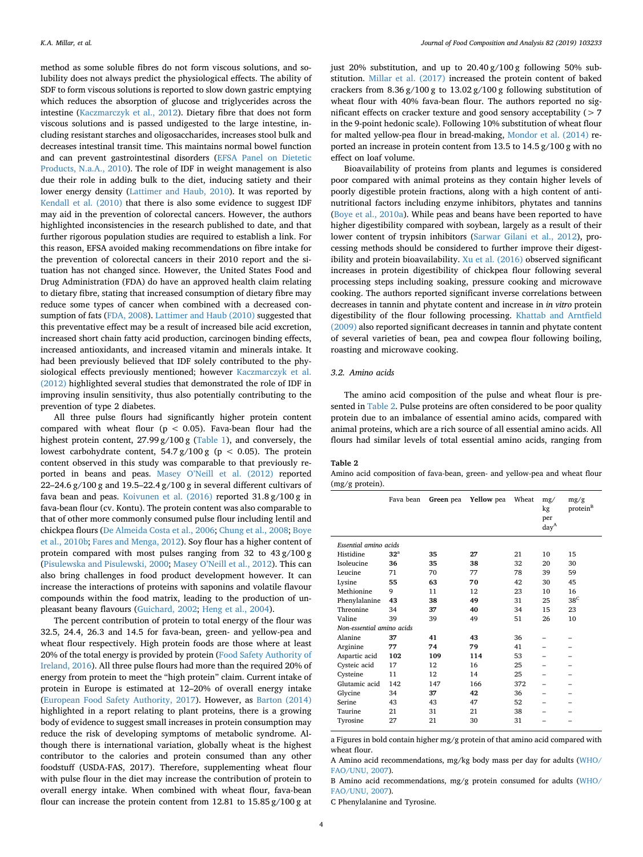method as some soluble fibres do not form viscous solutions, and solubility does not always predict the physiological effects. The ability of SDF to form viscous solutions is reported to slow down gastric emptying which reduces the absorption of glucose and triglycerides across the intestine ([Kaczmarczyk et al., 2012\)](#page-8-33). Dietary fibre that does not form viscous solutions and is passed undigested to the large intestine, including resistant starches and oligosaccharides, increases stool bulk and decreases intestinal transit time. This maintains normal bowel function and can prevent gastrointestinal disorders [\(EFSA Panel on Dietetic](#page-8-31) [Products, N.a.A., 2010\)](#page-8-31). The role of IDF in weight management is also due their role in adding bulk to the diet, inducing satiety and their lower energy density [\(Lattimer and Haub, 2010](#page-8-34)). It was reported by [Kendall et al. \(2010\)](#page-8-35) that there is also some evidence to suggest IDF may aid in the prevention of colorectal cancers. However, the authors highlighted inconsistencies in the research published to date, and that further rigorous population studies are required to establish a link. For this reason, EFSA avoided making recommendations on fibre intake for the prevention of colorectal cancers in their 2010 report and the situation has not changed since. However, the United States Food and Drug Administration (FDA) do have an approved health claim relating to dietary fibre, stating that increased consumption of dietary fibre may reduce some types of cancer when combined with a decreased consumption of fats [\(FDA, 2008\)](#page-8-36). [Lattimer and Haub \(2010\)](#page-8-34) suggested that this preventative effect may be a result of increased bile acid excretion, increased short chain fatty acid production, carcinogen binding effects, increased antioxidants, and increased vitamin and minerals intake. It had been previously believed that IDF solely contributed to the physiological effects previously mentioned; however [Kaczmarczyk et al.](#page-8-33) [\(2012\)](#page-8-33) highlighted several studies that demonstrated the role of IDF in improving insulin sensitivity, thus also potentially contributing to the prevention of type 2 diabetes.

All three pulse flours had significantly higher protein content compared with wheat flour ( $p < 0.05$ ). Fava-bean flour had the highest protein content, 27.99 g/100 g [\(Table 1\)](#page-4-0), and conversely, the lowest carbohydrate content,  $54.7 g/100 g$  (p < 0.05). The protein content observed in this study was comparable to that previously reported in beans and peas. [Masey O'Neill et al. \(2012\)](#page-8-37) reported 22–24.6 g/100 g and 19.5–22.4 g/100 g in several different cultivars of fava bean and peas. [Koivunen et al. \(2016\)](#page-8-10) reported 31.8 g/100 g in fava-bean flour (cv. Kontu). The protein content was also comparable to that of other more commonly consumed pulse flour including lentil and chickpea flours ([De Almeida Costa et al., 2006;](#page-8-28) [Chung et al., 2008](#page-8-38); [Boye](#page-7-10) [et al., 2010b;](#page-7-10) [Fares and Menga, 2012](#page-8-39)). Soy flour has a higher content of protein compared with most pulses ranging from 32 to 43 g/100 g ([Pisulewska and Pisulewski, 2000](#page-8-40); [Masey O'Neill et al., 2012\)](#page-8-37). This can also bring challenges in food product development however. It can increase the interactions of proteins with saponins and volatile flavour compounds within the food matrix, leading to the production of unpleasant beany flavours [\(Guichard, 2002;](#page-8-30) [Heng et al., 2004](#page-8-41)).

The percent contribution of protein to total energy of the flour was 32.5, 24.4, 26.3 and 14.5 for fava-bean, green- and yellow-pea and wheat flour respectively. High protein foods are those where at least 20% of the total energy is provided by protein ([Food Safety Authority of](#page-8-17) [Ireland, 2016\)](#page-8-17). All three pulse flours had more than the required 20% of energy from protein to meet the "high protein" claim. Current intake of protein in Europe is estimated at 12–20% of overall energy intake ([European Food Safety Authority, 2017](#page-8-42)). However, as [Barton \(2014\)](#page-7-11) highlighted in a report relating to plant proteins, there is a growing body of evidence to suggest small increases in protein consumption may reduce the risk of developing symptoms of metabolic syndrome. Although there is international variation, globally wheat is the highest contributor to the calories and protein consumed than any other foodstuff (USDA-FAS, 2017). Therefore, supplementing wheat flour with pulse flour in the diet may increase the contribution of protein to overall energy intake. When combined with wheat flour, fava-bean flour can increase the protein content from 12.81 to 15.85 g/100 g at just 20% substitution, and up to 20.40 g/100 g following 50% substitution. [Millar et al. \(2017\)](#page-8-15) increased the protein content of baked crackers from 8.36 g/100 g to 13.02 g/100 g following substitution of wheat flour with 40% fava-bean flour. The authors reported no significant effects on cracker texture and good sensory acceptability (> 7 in the 9-point hedonic scale). Following 10% substitution of wheat flour for malted yellow-pea flour in bread-making, [Mondor et al. \(2014\)](#page-8-13) reported an increase in protein content from 13.5 to 14.5 g/100 g with no effect on loaf volume.

Bioavailability of proteins from plants and legumes is considered poor compared with animal proteins as they contain higher levels of poorly digestible protein fractions, along with a high content of antinutritional factors including enzyme inhibitors, phytates and tannins ([Boye et al., 2010a\)](#page-7-1). While peas and beans have been reported to have higher digestibility compared with soybean, largely as a result of their lower content of trypsin inhibitors [\(Sarwar Gilani et al., 2012\)](#page-8-43), processing methods should be considered to further improve their digestibility and protein bioavailability. [Xu et al. \(2016\)](#page-8-44) observed significant increases in protein digestibility of chickpea flour following several processing steps including soaking, pressure cooking and microwave cooking. The authors reported significant inverse correlations between decreases in tannin and phytate content and increase in *in vitro* protein digestibility of the flour following processing. [Khattab and Arntfield](#page-8-45) [\(2009\)](#page-8-45) also reported significant decreases in tannin and phytate content of several varieties of bean, pea and cowpea flour following boiling, roasting and microwave cooking.

#### *3.2. Amino acids*

The amino acid composition of the pulse and wheat flour is presented in [Table 2](#page-5-0). Pulse proteins are often considered to be poor quality protein due to an imbalance of essential amino acids, compared with animal proteins, which are a rich source of all essential amino acids. All flours had similar levels of total essential amino acids, ranging from

#### <span id="page-5-0"></span>**Table 2**

Amino acid composition of fava-bean, green- and yellow-pea and wheat flour (mg/g protein).

|                           | Fava bean       | Green pea | <b>Yellow</b> pea | Wheat | mg/<br>kg<br>per<br>day <sup>A</sup> | mg/g<br>protein <sup>B</sup> |
|---------------------------|-----------------|-----------|-------------------|-------|--------------------------------------|------------------------------|
| Essential amino acids     |                 |           |                   |       |                                      |                              |
| Histidine                 | 32 <sup>a</sup> | 35        | 27                | 21    | 10                                   | 15                           |
| Isoleucine                | 36              | 35        | 38                | 32    | 20                                   | 30                           |
| Leucine                   | 71              | 70        | 77                | 78    | 39                                   | 59                           |
| Lysine                    | 55              | 63        | 70                | 42    | 30                                   | 45                           |
| Methionine                | 9               | 11        | 12                | 23    | 10                                   | 16                           |
| Phenylalanine             | 43              | 38        | 49                | 31    | 25                                   | 38 <sup>C</sup>              |
| Threonine                 | 34              | 37        | 40                | 34    | 15                                   | 23                           |
| Valine                    | 39              | 39        | 49                | 51    | 26                                   | 10                           |
| Non-essential amino acids |                 |           |                   |       |                                      |                              |
| Alanine                   | 37              | 41        | 43                | 36    |                                      |                              |
| Arginine                  | 77              | 74        | 79                | 41    |                                      |                              |
| Aspartic acid             | 102             | 109       | 114               | 53    |                                      |                              |
| Cysteic acid              | 17              | 12        | 16                | 25    |                                      |                              |
| Cysteine                  | 11              | 12        | 14                | 25    |                                      |                              |
| Glutamic acid             | 142             | 147       | 166               | 372   |                                      |                              |
| Glycine                   | 34              | 37        | 42                | 36    |                                      |                              |
| Serine                    | 43              | 43        | 47                | 52    |                                      |                              |
| Taurine                   | 21              | 31        | 21                | 38    |                                      |                              |
| Tyrosine                  | 27              | 21        | 30                | 31    |                                      |                              |

a Figures in bold contain higher mg/g protein of that amino acid compared with wheat flour.

C Phenylalanine and Tyrosine.

A Amino acid recommendations, mg/kg body mass per day for adults ([WHO/](#page-8-46) [FAO/UNU, 2007\)](#page-8-46).

B Amino acid recommendations, mg/g protein consumed for adults ([WHO/](#page-8-46) [FAO/UNU, 2007\)](#page-8-46).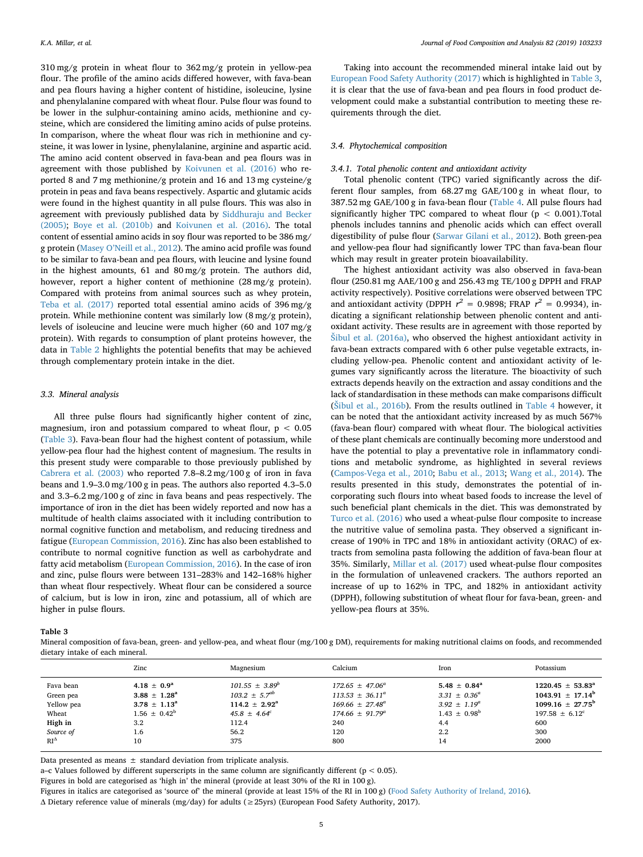310 mg/g protein in wheat flour to 362 mg/g protein in yellow-pea flour. The profile of the amino acids differed however, with fava-bean and pea flours having a higher content of histidine, isoleucine, lysine and phenylalanine compared with wheat flour. Pulse flour was found to be lower in the sulphur-containing amino acids, methionine and cysteine, which are considered the limiting amino acids of pulse proteins. In comparison, where the wheat flour was rich in methionine and cysteine, it was lower in lysine, phenylalanine, arginine and aspartic acid. The amino acid content observed in fava-bean and pea flours was in agreement with those published by [Koivunen et al. \(2016\)](#page-8-10) who reported 8 and 7 mg methionine/g protein and 16 and 13 mg cysteine/g protein in peas and fava beans respectively. Aspartic and glutamic acids were found in the highest quantity in all pulse flours. This was also in agreement with previously published data by [Siddhuraju and Becker](#page-8-47) [\(2005\);](#page-8-47) [Boye et al. \(2010b\)](#page-7-10) and [Koivunen et al. \(2016\).](#page-8-10) The total content of essential amino acids in soy flour was reported to be 386 mg/ g protein [\(Masey O'Neill et al., 2012](#page-8-37)). The amino acid profile was found to be similar to fava-bean and pea flours, with leucine and lysine found in the highest amounts, 61 and 80 mg/g protein. The authors did, however, report a higher content of methionine  $(28 \text{ mg/g protein})$ . Compared with proteins from animal sources such as whey protein, [Teba et al. \(2017\)](#page-8-48) reported total essential amino acids of 396 mg/g protein. While methionine content was similarly low (8 mg/g protein), levels of isoleucine and leucine were much higher (60 and 107 mg/g protein). With regards to consumption of plant proteins however, the data in [Table 2](#page-5-0) highlights the potential benefits that may be achieved through complementary protein intake in the diet.

#### *3.3. Mineral analysis*

All three pulse flours had significantly higher content of zinc, magnesium, iron and potassium compared to wheat flour,  $p < 0.05$ ([Table 3](#page-6-0)). Fava-bean flour had the highest content of potassium, while yellow-pea flour had the highest content of magnesium. The results in this present study were comparable to those previously published by [Cabrera et al. \(2003\)](#page-7-12) who reported 7.8–8.2 mg/100 g of iron in fava beans and 1.9–3.0 mg/100 g in peas. The authors also reported 4.3–5.0 and 3.3–6.2 mg/100 g of zinc in fava beans and peas respectively. The importance of iron in the diet has been widely reported and now has a multitude of health claims associated with it including contribution to normal cognitive function and metabolism, and reducing tiredness and fatigue [\(European Commission, 2016\)](#page-8-49). Zinc has also been established to contribute to normal cognitive function as well as carbohydrate and fatty acid metabolism [\(European Commission, 2016](#page-8-49)). In the case of iron and zinc, pulse flours were between 131–283% and 142–168% higher than wheat flour respectively. Wheat flour can be considered a source of calcium, but is low in iron, zinc and potassium, all of which are higher in pulse flours.

Taking into account the recommended mineral intake laid out by [European Food Safety Authority \(2017\)](#page-8-42) which is highlighted in [Table 3](#page-6-0), it is clear that the use of fava-bean and pea flours in food product development could make a substantial contribution to meeting these requirements through the diet.

#### *3.4. Phytochemical composition*

#### *3.4.1. Total phenolic content and antioxidant activity*

Total phenolic content (TPC) varied significantly across the different flour samples, from 68.27 mg GAE/100 g in wheat flour, to 387.52 mg GAE/100 g in fava-bean flour ([Table 4](#page-7-13). All pulse flours had significantly higher TPC compared to wheat flour ( $p < 0.001$ ). Total phenols includes tannins and phenolic acids which can effect overall digestibility of pulse flour [\(Sarwar Gilani et al., 2012](#page-8-43)). Both green-pea and yellow-pea flour had significantly lower TPC than fava-bean flour which may result in greater protein bioavailability.

The highest antioxidant activity was also observed in fava-bean flour (250.81 mg AAE/100 g and 256.43 mg TE/100 g DPPH and FRAP activity respectively). Positive correlations were observed between TPC and antioxidant activity (DPPH  $r^2 = 0.9898$ ; FRAP  $r^2 = 0.9934$ ), indicating a significant relationship between phenolic content and antioxidant activity. These results are in agreement with those reported by [Šibul et al. \(2016a\),](#page-8-50) who observed the highest antioxidant activity in fava-bean extracts compared with 6 other pulse vegetable extracts, including yellow-pea. Phenolic content and antioxidant activity of legumes vary significantly across the literature. The bioactivity of such extracts depends heavily on the extraction and assay conditions and the lack of standardisation in these methods can make comparisons difficult ([Šibul et al., 2016b\)](#page-8-51). From the results outlined in [Table 4](#page-7-13) however, it can be noted that the antioxidant activity increased by as much 567% (fava-bean flour) compared with wheat flour. The biological activities of these plant chemicals are continually becoming more understood and have the potential to play a preventative role in inflammatory conditions and metabolic syndrome, as highlighted in several reviews ([Campos-Vega et al., 2010](#page-7-2); [Babu et al., 2013;](#page-7-14) [Wang et al., 2014](#page-8-52)). The results presented in this study, demonstrates the potential of incorporating such flours into wheat based foods to increase the level of such beneficial plant chemicals in the diet. This was demonstrated by [Turco et al. \(2016\)](#page-8-14) who used a wheat-pulse flour composite to increase the nutritive value of semolina pasta. They observed a significant increase of 190% in TPC and 18% in antioxidant activity (ORAC) of extracts from semolina pasta following the addition of fava-bean flour at 35%. Similarly, [Millar et al. \(2017\)](#page-8-15) used wheat-pulse flour composites in the formulation of unleavened crackers. The authors reported an increase of up to 162% in TPC, and 182% in antioxidant activity (DPPH), following substitution of wheat flour for fava-bean, green- and yellow-pea flours at 35%.

#### <span id="page-6-0"></span>**Table 3**

Mineral composition of fava-bean, green- and yellow-pea, and wheat flour (mg/100 g DM), requirements for making nutritional claims on foods, and recommended dietary intake of each mineral.

|               | Zinc                    | Magnesium                   | Calcium                    | Iron                    | Potassium                      |
|---------------|-------------------------|-----------------------------|----------------------------|-------------------------|--------------------------------|
| Fava bean     | $4.18 + 0.9a$           | $101.55 \pm 3.89^b$         | $172.65 \pm 47.06^a$       | $5.48 \pm 0.84^a$       | $1220.45 \pm 53.83^a$          |
| Green pea     | $3.88 \pm 1.28^{\rm a}$ | $103.2 \pm 5.7^{ab}$        | $113.53 \pm 36.11^a$       | $3.31 \pm 0.36^a$       | $1043.91 + 17.14^b$            |
| Yellow pea    | $3.78 \pm 1.13^{\rm a}$ | $114.2 \pm 2.92^{\text{a}}$ | $169.66 \pm 27.48^a$       | $3.92 \pm 1.19^a$       | $1099.16 + 27.75^{\mathrm{b}}$ |
| Wheat         | $1.56 \pm 0.42^b$       | $45.8 \pm 4.64^c$           | $174.66 \pm 91.79^{\circ}$ | $1.43 \pm 0.98^{\rm b}$ | $197.58 + 6.12^c$              |
| High in       | 3.2                     | 112.4                       | 240                        | 4.4                     | 600                            |
| Source of     | 1.6                     | 56.2                        | 120                        | 2.2                     | 300                            |
| $RI^{\Delta}$ | 10                      | 375                         | 800                        | 14                      | 2000                           |

Data presented as means  $\pm$  standard deviation from triplicate analysis.

a–c Values followed by different superscripts in the same column are significantly different (p < 0.05).

Figures in bold are categorised as 'high in' the mineral (provide at least 30% of the RI in 100 g).

Figures in italics are categorised as 'source of' the mineral (provide at least 15% of the RI in 100 g) ([Food Safety Authority of Ireland, 2016](#page-8-17)).

Δ Dietary reference value of minerals (mg/day) for adults (≥25yrs) (European Food Safety Authority, 2017).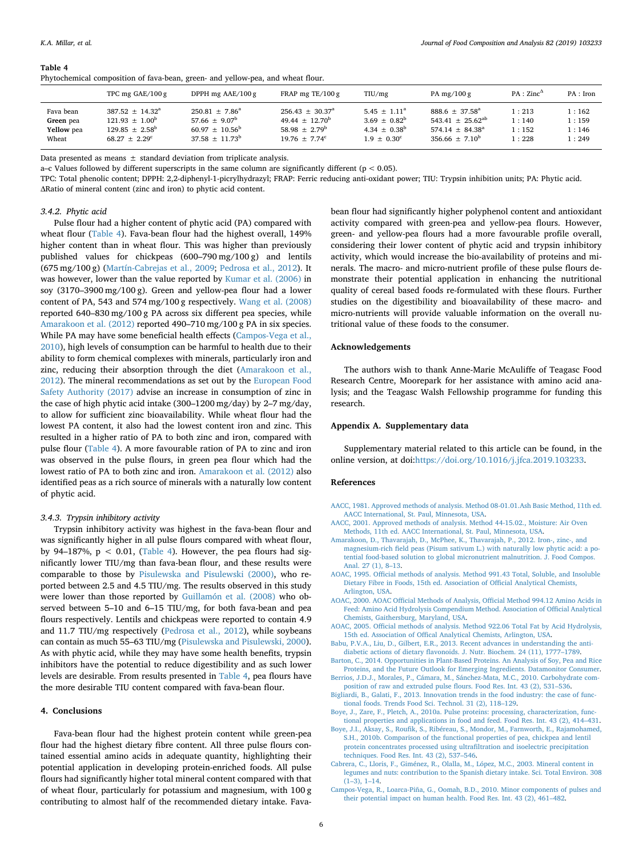#### <span id="page-7-13"></span>**Table 4**

|                                               | TPC mg $GAE/100g$                                                                                                  | DPPH mg $AAE/100g$                                                                                          | FRAP mg TE/100 g                                                                                                  | T <sub>I</sub> U/mg                                                                                  | PA mg/ $100 g$                                                                                                     | $PA: Zinc^{\Delta}$              | PA : Iron                        |  |
|-----------------------------------------------|--------------------------------------------------------------------------------------------------------------------|-------------------------------------------------------------------------------------------------------------|-------------------------------------------------------------------------------------------------------------------|------------------------------------------------------------------------------------------------------|--------------------------------------------------------------------------------------------------------------------|----------------------------------|----------------------------------|--|
| Fava bean<br>Green pea<br>Yellow pea<br>Wheat | $387.52 \pm 14.32^{\circ}$<br>$121.93 \pm 1.00^{\mathrm{b}}$<br>$129.85 \pm 2.58^{\mathrm{b}}$<br>$68.27 + 2.29^c$ | $250.81 \pm 7.86^a$<br>57.66 $\pm$ 9.07 <sup>b</sup><br>$60.97 \pm 10.56^{\mathrm{b}}$<br>$37.58 + 11.73^b$ | $256.43 \pm 30.37^{\circ}$<br>$49.44 \pm 12.70^{\mathrm{b}}$<br>58.98 $\pm$ 2.79 <sup>b</sup><br>$19.76 + 7.74^c$ | $5.45 \pm 1.11^a$<br>$3.69 \pm 0.82^{\rm b}$<br>4.34 $\pm$ 0.38 <sup>b</sup><br>$1.9 + 0.30^{\circ}$ | $888.6 \pm 37.58^{\circ}$<br>543.41 $\pm$ 25.62 <sup>ab</sup><br>$574.14 \pm 84.38^{\circ}$<br>$356.66 \pm 7.10^b$ | 1:213<br>1:140<br>1:152<br>1:228 | l:162<br>1:159<br>1:146<br>1:249 |  |

Data presented as means ± standard deviation from triplicate analysis.

Phytochemical composition of fava-bean, green- and yellow-pea, and wheat flour.

a–c Values followed by different superscripts in the same column are significantly different ( $p < 0.05$ ).

TPC: Total phenolic content; DPPH: 2,2-diphenyl-1-picrylhydrazyl; FRAP: Ferric reducing anti-oxidant power; TIU: Trypsin inhibition units; PA: Phytic acid. ΔRatio of mineral content (zinc and iron) to phytic acid content.

#### *3.4.2. Phytic acid*

Pulse flour had a higher content of phytic acid (PA) compared with wheat flour [\(Table 4](#page-7-13)). Fava-bean flour had the highest overall, 149% higher content than in wheat flour. This was higher than previously published values for chickpeas (600–790 mg/100 g) and lentils (675 mg/100 g) ([Martín-Cabrejas et al., 2009;](#page-8-53) [Pedrosa et al., 2012](#page-8-54)). It was however, lower than the value reported by [Kumar et al. \(2006\)](#page-8-55) in soy (3170–3900 mg/100 g). Green and yellow-pea flour had a lower content of PA, 543 and 574 mg/100 g respectively. [Wang et al. \(2008\)](#page-8-56) reported 640–830 mg/100 g PA across six different pea species, while [Amarakoon et al. \(2012\)](#page-7-3) reported 490–710 mg/100 g PA in six species. While PA may have some beneficial health effects ([Campos-Vega et al.,](#page-7-2) [2010\)](#page-7-2), high levels of consumption can be harmful to health due to their ability to form chemical complexes with minerals, particularly iron and zinc, reducing their absorption through the diet ([Amarakoon et al.,](#page-7-3) [2012\)](#page-7-3). The mineral recommendations as set out by the [European Food](#page-8-42) [Safety Authority \(2017\)](#page-8-42) advise an increase in consumption of zinc in the case of high phytic acid intake (300–1200 mg/day) by 2–7 mg/day, to allow for sufficient zinc bioavailability. While wheat flour had the lowest PA content, it also had the lowest content iron and zinc. This resulted in a higher ratio of PA to both zinc and iron, compared with pulse flour [\(Table 4](#page-7-13)). A more favourable ration of PA to zinc and iron was observed in the pulse flours, in green pea flour which had the lowest ratio of PA to both zinc and iron. [Amarakoon et al. \(2012\)](#page-7-3) also identified peas as a rich source of minerals with a naturally low content of phytic acid.

#### *3.4.3. Trypsin inhibitory activity*

Trypsin inhibitory activity was highest in the fava-bean flour and was significantly higher in all pulse flours compared with wheat flour, by 94–187%,  $p < 0.01$ , ([Table 4](#page-7-13)). However, the pea flours had significantly lower TIU/mg than fava-bean flour, and these results were comparable to those by [Pisulewska and Pisulewski \(2000\),](#page-8-40) who reported between 2.5 and 4.5 TIU/mg. The results observed in this study were lower than those reported by [Guillamón et al. \(2008\)](#page-8-57) who observed between 5–10 and 6–15 TIU/mg, for both fava-bean and pea flours respectively. Lentils and chickpeas were reported to contain 4.9 and 11.7 TIU/mg respectively ([Pedrosa et al., 2012\)](#page-8-54), while soybeans can contain as much 55–63 TIU/mg [\(Pisulewska and Pisulewski, 2000](#page-8-40)). As with phytic acid, while they may have some health benefits, trypsin inhibitors have the potential to reduce digestibility and as such lower levels are desirable. From results presented in [Table 4,](#page-7-13) pea flours have the more desirable TIU content compared with fava-bean flour.

#### **4. Conclusions**

Fava-bean flour had the highest protein content while green-pea flour had the highest dietary fibre content. All three pulse flours contained essential amino acids in adequate quantity, highlighting their potential application in developing protein-enriched foods. All pulse flours had significantly higher total mineral content compared with that of wheat flour, particularly for potassium and magnesium, with 100 g contributing to almost half of the recommended dietary intake. Fava-

bean flour had significantly higher polyphenol content and antioxidant activity compared with green-pea and yellow-pea flours. However, green- and yellow-pea flours had a more favourable profile overall, considering their lower content of phytic acid and trypsin inhibitory activity, which would increase the bio-availability of proteins and minerals. The macro- and micro-nutrient profile of these pulse flours demonstrate their potential application in enhancing the nutritional quality of cereal based foods re-formulated with these flours. Further studies on the digestibility and bioavailability of these macro- and micro-nutrients will provide valuable information on the overall nutritional value of these foods to the consumer.

#### **Acknowledgements**

The authors wish to thank Anne-Marie McAuliffe of Teagasc Food Research Centre, Moorepark for her assistance with amino acid analysis; and the Teagasc Walsh Fellowship programme for funding this research.

#### **Appendix A. Supplementary data**

Supplementary material related to this article can be found, in the online version, at doi:<https://doi.org/10.1016/j.jfca.2019.103233>.

#### **References**

- <span id="page-7-5"></span>[AACC, 1981. Approved methods of analysis. Method 08-01.01.Ash Basic Method, 11th ed.](http://refhub.elsevier.com/S0889-1575(18)30498-8/sbref0005) [AACC International, St. Paul, Minnesota, USA.](http://refhub.elsevier.com/S0889-1575(18)30498-8/sbref0005)
- <span id="page-7-4"></span>[AACC, 2001. Approved methods of analysis. Method 44-15.02., Moisture: Air Oven](http://refhub.elsevier.com/S0889-1575(18)30498-8/sbref0010) [Methods, 11th ed. AACC International, St. Paul, Minnesota, USA.](http://refhub.elsevier.com/S0889-1575(18)30498-8/sbref0010)
- <span id="page-7-3"></span>[Amarakoon, D., Thavarajah, D., McPhee, K., Thavarajah, P., 2012. Iron-, zinc-, and](http://refhub.elsevier.com/S0889-1575(18)30498-8/sbref0015) [magnesium-rich field peas \(Pisum sativum L.\) with naturally low phytic acid: a po](http://refhub.elsevier.com/S0889-1575(18)30498-8/sbref0015)[tential food-based solution to global micronutrient malnutrition. J. Food Compos.](http://refhub.elsevier.com/S0889-1575(18)30498-8/sbref0015) [Anal. 27 \(1\), 8–13](http://refhub.elsevier.com/S0889-1575(18)30498-8/sbref0015).
- <span id="page-7-7"></span>[AOAC, 1995. Official methods of analysis. Method 991.43 Total, Soluble, and Insoluble](http://refhub.elsevier.com/S0889-1575(18)30498-8/sbref0020) [Dietary Fibre in Foods, 15th ed. Association of Official Analytical Chemists,](http://refhub.elsevier.com/S0889-1575(18)30498-8/sbref0020) [Arlington, USA](http://refhub.elsevier.com/S0889-1575(18)30498-8/sbref0020).
- <span id="page-7-8"></span>[AOAC, 2000. AOAC Official Methods of Analysis, Official Method 994.12 Amino Acids in](http://refhub.elsevier.com/S0889-1575(18)30498-8/sbref0025) [Feed: Amino Acid Hydrolysis Compendium Method. Association of Official Analytical](http://refhub.elsevier.com/S0889-1575(18)30498-8/sbref0025) [Chemists, Gaithersburg, Maryland, USA](http://refhub.elsevier.com/S0889-1575(18)30498-8/sbref0025).
- <span id="page-7-6"></span>[AOAC, 2005. Official methods of analysis. Method 922.06 Total Fat by Acid Hydrolysis,](http://refhub.elsevier.com/S0889-1575(18)30498-8/sbref0030) [15th ed. Association of Offical Analytical Chemists, Arlington, USA](http://refhub.elsevier.com/S0889-1575(18)30498-8/sbref0030).
- <span id="page-7-14"></span>[Babu, P.V.A., Liu, D., Gilbert, E.R., 2013. Recent advances in understanding the anti](http://refhub.elsevier.com/S0889-1575(18)30498-8/sbref0035)[diabetic actions of dietary flavonoids. J. Nutr. Biochem. 24 \(11\), 1777–1789](http://refhub.elsevier.com/S0889-1575(18)30498-8/sbref0035).
- <span id="page-7-11"></span>[Barton, C., 2014. Opportunities in Plant-Based Proteins. An Analysis of Soy, Pea and Rice](http://refhub.elsevier.com/S0889-1575(18)30498-8/sbref0040) [Proteins, and the Future Outlook for Emerging Ingredients. Datamonitor Consumer](http://refhub.elsevier.com/S0889-1575(18)30498-8/sbref0040).
- <span id="page-7-9"></span>[Berrios, J.D.J., Morales, P., Cámara, M., Sánchez-Mata, M.C., 2010. Carbohydrate com](http://refhub.elsevier.com/S0889-1575(18)30498-8/sbref0045)[position of raw and extruded pulse flours. Food Res. Int. 43 \(2\), 531–536](http://refhub.elsevier.com/S0889-1575(18)30498-8/sbref0045).
- <span id="page-7-0"></span>[Bigliardi, B., Galati, F., 2013. Innovation trends in the food industry: the case of func](http://refhub.elsevier.com/S0889-1575(18)30498-8/sbref0050)[tional foods. Trends Food Sci. Technol. 31 \(2\), 118–129](http://refhub.elsevier.com/S0889-1575(18)30498-8/sbref0050).
- <span id="page-7-1"></span>[Boye, J., Zare, F., Pletch, A., 2010a. Pulse proteins: processing, characterization, func](http://refhub.elsevier.com/S0889-1575(18)30498-8/sbref0055)[tional properties and applications in food and feed. Food Res. Int. 43 \(2\), 414–431](http://refhub.elsevier.com/S0889-1575(18)30498-8/sbref0055).
- <span id="page-7-10"></span>[Boye, J.I., Aksay, S., Roufik, S., Ribéreau, S., Mondor, M., Farnworth, E., Rajamohamed,](http://refhub.elsevier.com/S0889-1575(18)30498-8/sbref0060) [S.H., 2010b. Comparison of the functional properties of pea, chickpea and lentil](http://refhub.elsevier.com/S0889-1575(18)30498-8/sbref0060) [protein concentrates processed using ultrafiltration and isoelectric precipitation](http://refhub.elsevier.com/S0889-1575(18)30498-8/sbref0060) [techniques. Food Res. Int. 43 \(2\), 537–546.](http://refhub.elsevier.com/S0889-1575(18)30498-8/sbref0060)
- <span id="page-7-12"></span>[Cabrera, C., Lloris, F., Giménez, R., Olalla, M., López, M.C., 2003. Mineral content in](http://refhub.elsevier.com/S0889-1575(18)30498-8/sbref0065) [legumes and nuts: contribution to the Spanish dietary intake. Sci. Total Environ. 308](http://refhub.elsevier.com/S0889-1575(18)30498-8/sbref0065) [\(1–3\), 1–14.](http://refhub.elsevier.com/S0889-1575(18)30498-8/sbref0065)
- <span id="page-7-2"></span>[Campos-Vega, R., Loarca-Piña, G., Oomah, B.D., 2010. Minor components of pulses and](http://refhub.elsevier.com/S0889-1575(18)30498-8/sbref0070) [their potential impact on human health. Food Res. Int. 43 \(2\), 461–482](http://refhub.elsevier.com/S0889-1575(18)30498-8/sbref0070).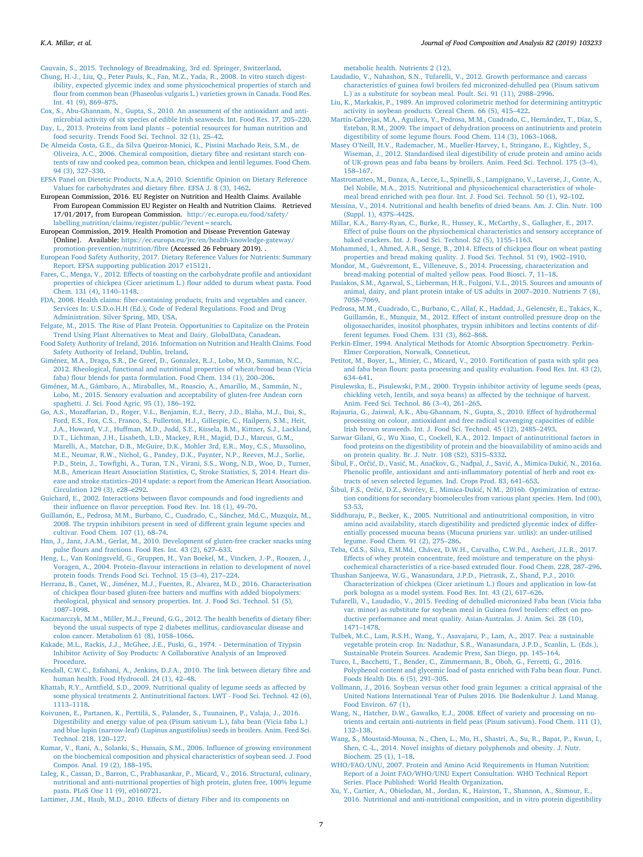*K.A. Millar, et al. Journal of Food Composition and Analysis 82 (2019) 103233*

<span id="page-8-24"></span>[Cauvain, S., 2015. Technology of Breadmaking, 3rd ed. Springer, Switzerland](http://refhub.elsevier.com/S0889-1575(18)30498-8/sbref0075).

- <span id="page-8-38"></span>[Chung, H.-J., Liu, Q., Peter Pauls, K., Fan, M.Z., Yada, R., 2008. In vitro starch digest](http://refhub.elsevier.com/S0889-1575(18)30498-8/sbref0080)[ibility, expected glycemic index and some physicochemical properties of starch and](http://refhub.elsevier.com/S0889-1575(18)30498-8/sbref0080) [flour from common bean \(Phaseolus vulgaris L.\) varieties grown in Canada. Food Res.](http://refhub.elsevier.com/S0889-1575(18)30498-8/sbref0080) [Int. 41 \(9\), 869–875.](http://refhub.elsevier.com/S0889-1575(18)30498-8/sbref0080)
- <span id="page-8-20"></span>[Cox, S., Abu-Ghannam, N., Gupta, S., 2010. An assessment of the antioxidant and anti](http://refhub.elsevier.com/S0889-1575(18)30498-8/sbref0085)[microbial activity of six species of edible Irish seaweeds. Int. Food Res. 17, 205–220.](http://refhub.elsevier.com/S0889-1575(18)30498-8/sbref0085)
- <span id="page-8-5"></span>[Day, L., 2013. Proteins from land plants – potential resources for human nutrition and](http://refhub.elsevier.com/S0889-1575(18)30498-8/sbref0090) [food security. Trends Food Sci. Technol. 32 \(1\), 25–42.](http://refhub.elsevier.com/S0889-1575(18)30498-8/sbref0090)
- <span id="page-8-28"></span>[De Almeida Costa, G.E., da Silva Queiroz-Monici, K., Pissini Machado Reis, S.M., de](http://refhub.elsevier.com/S0889-1575(18)30498-8/sbref0095) [Oliveira, A.C., 2006. Chemical composition, dietary fibre and resistant starch con](http://refhub.elsevier.com/S0889-1575(18)30498-8/sbref0095)[tents of raw and cooked pea, common bean, chickpea and lentil legumes. Food Chem.](http://refhub.elsevier.com/S0889-1575(18)30498-8/sbref0095) [94 \(3\), 327–330.](http://refhub.elsevier.com/S0889-1575(18)30498-8/sbref0095)
- <span id="page-8-31"></span>[EFSA Panel on Dietetic Products, N.a.A, 2010. Scientific Opinion on Dietary Reference](http://refhub.elsevier.com/S0889-1575(18)30498-8/sbref0100) [Values for carbohydrates and dietary fibre. EFSA J. 8 \(3\), 1462.](http://refhub.elsevier.com/S0889-1575(18)30498-8/sbref0100)
- <span id="page-8-49"></span>European Commission, 2016. EU Register on Nutrition and Health Claims. Available From European Commission EU Register on Health and Nutrition Claims. Retrieved 17/01/2017, from European Commission. [http://ec.europa.eu/food/safety/](http://ec.europa.eu/food/safety/labelling_nutrition/claims/register/public/?event=search) [labelling\\_nutrition/claims/register/public/?event=search](http://ec.europa.eu/food/safety/labelling_nutrition/claims/register/public/?event=search).
- <span id="page-8-32"></span>European Commission, 2019. Health Promotion and Disease Prevention Gateway [Online]. Available: [https://ec.europa.eu/jrc/en/health-knowledge-gateway/](https://ec.europa.eu/jrc/en/health-knowledge-gateway/promotion-prevention/nutrition/fibre) [promotion-prevention/nutrition/fibre](https://ec.europa.eu/jrc/en/health-knowledge-gateway/promotion-prevention/nutrition/fibre) (Accessed 26 February 2019). .
- <span id="page-8-42"></span>[European Food Safety Authority, 2017. Dietary Reference Values for Nutrients: Summary](http://refhub.elsevier.com/S0889-1575(18)30498-8/sbref0115) [Report. EFSA supporting publication 2017 e15121](http://refhub.elsevier.com/S0889-1575(18)30498-8/sbref0115).
- <span id="page-8-39"></span>[Fares, C., Menga, V., 2012. Effects of toasting on the carbohydrate profile and antioxidant](http://refhub.elsevier.com/S0889-1575(18)30498-8/sbref0120) [properties of chickpea \(Cicer arietinum L.\) flour added to durum wheat pasta. Food](http://refhub.elsevier.com/S0889-1575(18)30498-8/sbref0120) [Chem. 131 \(4\), 1140–1148.](http://refhub.elsevier.com/S0889-1575(18)30498-8/sbref0120)
- <span id="page-8-36"></span>[FDA, 2008. Health claims: fiber-containing products, fruits and vegetables and cancer.](http://refhub.elsevier.com/S0889-1575(18)30498-8/sbref0125) [Services In: U.S.D.o.H.H \(Ed.\), Code of Federal Regulations. Food and Drug](http://refhub.elsevier.com/S0889-1575(18)30498-8/sbref0125) [Administration. Silver Spring, MD, USA](http://refhub.elsevier.com/S0889-1575(18)30498-8/sbref0125).
- <span id="page-8-3"></span>[Felgate, M., 2015. The Rise of Plant Protein. Opportunities to Capitalize on the Protein](http://refhub.elsevier.com/S0889-1575(18)30498-8/sbref0130) [Trend Using Plant Alternatives to Meat and Dairy. GlobalData, Canadean](http://refhub.elsevier.com/S0889-1575(18)30498-8/sbref0130).
- <span id="page-8-17"></span>[Food Safety Authority of Ireland, 2016. Information on Nutrition and Health Claims. Food](http://refhub.elsevier.com/S0889-1575(18)30498-8/sbref0135) [Safety Authority of Ireland, Dublin, Ireland.](http://refhub.elsevier.com/S0889-1575(18)30498-8/sbref0135)
- <span id="page-8-2"></span>[Giménez, M.A., Drago, S.R., De Greef, D., Gonzalez, R.J., Lobo, M.O., Samman, N.C.,](http://refhub.elsevier.com/S0889-1575(18)30498-8/sbref0140) [2012. Rheological, functional and nutritional properties of wheat/broad bean \(Vicia](http://refhub.elsevier.com/S0889-1575(18)30498-8/sbref0140) [faba\) flour blends for pasta formulation. Food Chem. 134 \(1\), 200–206.](http://refhub.elsevier.com/S0889-1575(18)30498-8/sbref0140)
- <span id="page-8-27"></span>[Giménez, M.A., Gámbaro, A., Miraballes, M., Roascio, A., Amarillo, M., Sammán, N.,](http://refhub.elsevier.com/S0889-1575(18)30498-8/sbref0145) [Lobo, M., 2015. Sensory evaluation and acceptability of gluten‐free Andean corn](http://refhub.elsevier.com/S0889-1575(18)30498-8/sbref0145) [spaghetti. J. Sci. Food Agric. 95 \(1\), 186–192.](http://refhub.elsevier.com/S0889-1575(18)30498-8/sbref0145)
- <span id="page-8-0"></span>[Go, A.S., Mozaffarian, D., Roger, V.L., Benjamin, E.J., Berry, J.D., Blaha, M.J., Dai, S.,](http://refhub.elsevier.com/S0889-1575(18)30498-8/sbref0150) [Ford, E.S., Fox, C.S., Franco, S., Fullerton, H.J., Gillespie, C., Hailpern, S.M., Heit,](http://refhub.elsevier.com/S0889-1575(18)30498-8/sbref0150) [J.A., Howard, V.J., Huffman, M.D., Judd, S.E., Kissela, B.M., Kittner, S.J., Lackland,](http://refhub.elsevier.com/S0889-1575(18)30498-8/sbref0150) [D.T., Lichtman, J.H., Lisabeth, L.D., Mackey, R.H., Magid, D.J., Marcus, G.M.,](http://refhub.elsevier.com/S0889-1575(18)30498-8/sbref0150) [Marelli, A., Matchar, D.B., McGuire, D.K., Mohler 3rd, E.R., Moy, C.S., Mussolino,](http://refhub.elsevier.com/S0889-1575(18)30498-8/sbref0150) [M.E., Neumar, R.W., Nichol, G., Pandey, D.K., Paynter, N.P., Reeves, M.J., Sorlie,](http://refhub.elsevier.com/S0889-1575(18)30498-8/sbref0150) [P.D., Stein, J., Towfighi, A., Turan, T.N., Virani, S.S., Wong, N.D., Woo, D., Turner,](http://refhub.elsevier.com/S0889-1575(18)30498-8/sbref0150) [M.B., American Heart Association Statistics, C, Stroke Statistics, S, 2014. Heart dis](http://refhub.elsevier.com/S0889-1575(18)30498-8/sbref0150)[ease and stroke statistics–2014 update: a report from the American Heart Association.](http://refhub.elsevier.com/S0889-1575(18)30498-8/sbref0150) [Circulation 129 \(3\), e28–e292.](http://refhub.elsevier.com/S0889-1575(18)30498-8/sbref0150)
- <span id="page-8-30"></span>[Guichard, E., 2002. Interactions between flavor compounds and food ingredients and](http://refhub.elsevier.com/S0889-1575(18)30498-8/sbref0155) [their influence on flavor perception. Food Rev. Int. 18 \(1\), 49–70.](http://refhub.elsevier.com/S0889-1575(18)30498-8/sbref0155)
- <span id="page-8-57"></span>[Guillamón, E., Pedrosa, M.M., Burbano, C., Cuadrado, C., Sánchez, Md.C., Muzquiz, M.,](http://refhub.elsevier.com/S0889-1575(18)30498-8/sbref0160) [2008. The trypsin inhibitors present in seed of different grain legume species and](http://refhub.elsevier.com/S0889-1575(18)30498-8/sbref0160) [cultivar. Food Chem. 107 \(1\), 68–74](http://refhub.elsevier.com/S0889-1575(18)30498-8/sbref0160).
- <span id="page-8-7"></span>[Han, J., Janz, J.A.M., Gerlat, M., 2010. Development of gluten-free cracker snacks using](http://refhub.elsevier.com/S0889-1575(18)30498-8/sbref0165) [pulse flours and fractions. Food Res. Int. 43 \(2\), 627–633.](http://refhub.elsevier.com/S0889-1575(18)30498-8/sbref0165)
- <span id="page-8-41"></span>[Heng, L., Van Koningsveld, G., Gruppen, H., Van Boekel, M., Vincken, J.-P., Roozen, J.,](http://refhub.elsevier.com/S0889-1575(18)30498-8/sbref0170) [Voragen, A., 2004. Protein–flavour interactions in relation to development of novel](http://refhub.elsevier.com/S0889-1575(18)30498-8/sbref0170) [protein foods. Trends Food Sci. Technol. 15 \(3–4\), 217–224](http://refhub.elsevier.com/S0889-1575(18)30498-8/sbref0170).
- <span id="page-8-4"></span>[Herranz, B., Canet, W., Jiménez, M.J., Fuentes, R., Alvarez, M.D., 2016. Characterisation](http://refhub.elsevier.com/S0889-1575(18)30498-8/sbref0175) [of chickpea flour-based gluten-free batters and muffins with added biopolymers:](http://refhub.elsevier.com/S0889-1575(18)30498-8/sbref0175) [rheological, physical and sensory properties. Int. J. Food Sci. Technol. 51 \(5\),](http://refhub.elsevier.com/S0889-1575(18)30498-8/sbref0175) [1087–1098](http://refhub.elsevier.com/S0889-1575(18)30498-8/sbref0175).
- <span id="page-8-33"></span>[Kaczmarczyk, M.M., Miller, M.J., Freund, G.G., 2012. The health benefits of dietary fiber:](http://refhub.elsevier.com/S0889-1575(18)30498-8/sbref0180) [beyond the usual suspects of type 2 diabetes mellitus, cardiovascular disease and](http://refhub.elsevier.com/S0889-1575(18)30498-8/sbref0180) [colon cancer. Metabolism 61 \(8\), 1058–1066.](http://refhub.elsevier.com/S0889-1575(18)30498-8/sbref0180)
- <span id="page-8-21"></span>[Kakade, M.L., Rackis, J.J., McGhee, J.E., Puski, G., 1974. - Determination of Trypsin](http://refhub.elsevier.com/S0889-1575(18)30498-8/sbref0185) [Inhibitor Activity of Soy Products: A Collaborative Analysis of an Improved](http://refhub.elsevier.com/S0889-1575(18)30498-8/sbref0185) [Procedure](http://refhub.elsevier.com/S0889-1575(18)30498-8/sbref0185).
- <span id="page-8-35"></span>[Kendall, C.W.C., Esfahani, A., Jenkins, D.J.A., 2010. The link between dietary fibre and](http://refhub.elsevier.com/S0889-1575(18)30498-8/sbref0190) [human health. Food Hydrocoll. 24 \(1\), 42–48.](http://refhub.elsevier.com/S0889-1575(18)30498-8/sbref0190)
- <span id="page-8-45"></span>[Khattab, R.Y., Arntfield, S.D., 2009. Nutritional quality of legume seeds as affected by](http://refhub.elsevier.com/S0889-1575(18)30498-8/sbref0195) [some physical treatments 2. Antinutritional factors. LWT - Food Sci. Technol. 42 \(6\),](http://refhub.elsevier.com/S0889-1575(18)30498-8/sbref0195) [1113–1118](http://refhub.elsevier.com/S0889-1575(18)30498-8/sbref0195).
- <span id="page-8-10"></span>[Koivunen, E., Partanen, K., Perttilä, S., Palander, S., Tuunainen, P., Valaja, J., 2016.](http://refhub.elsevier.com/S0889-1575(18)30498-8/sbref0200) [Digestibility and energy value of pea \(Pisum sativum L.\), faba bean \(Vicia faba L.\)](http://refhub.elsevier.com/S0889-1575(18)30498-8/sbref0200) [and blue lupin \(narrow-leaf\) \(Lupinus angustifolius\) seeds in broilers. Anim. Feed Sci.](http://refhub.elsevier.com/S0889-1575(18)30498-8/sbref0200) [Technol. 218, 120–127](http://refhub.elsevier.com/S0889-1575(18)30498-8/sbref0200).
- <span id="page-8-55"></span>[Kumar, V., Rani, A., Solanki, S., Hussain, S.M., 2006. Influence of growing environment](http://refhub.elsevier.com/S0889-1575(18)30498-8/sbref0205) [on the biochemical composition and physical characteristics of soybean seed. J. Food](http://refhub.elsevier.com/S0889-1575(18)30498-8/sbref0205) [Compos. Anal. 19 \(2\), 188–195](http://refhub.elsevier.com/S0889-1575(18)30498-8/sbref0205).
- <span id="page-8-16"></span>[Laleg, K., Cassan, D., Barron, C., Prabhasankar, P., Micard, V., 2016. Structural, culinary,](http://refhub.elsevier.com/S0889-1575(18)30498-8/sbref0210) [nutritional and anti-nutritional properties of high protein, gluten free, 100% legume](http://refhub.elsevier.com/S0889-1575(18)30498-8/sbref0210) [pasta. PLoS One 11 \(9\), e0160721.](http://refhub.elsevier.com/S0889-1575(18)30498-8/sbref0210)

<span id="page-8-34"></span>[Lattimer, J.M., Haub, M.D., 2010. Effects of dietary Fiber and its components on](http://refhub.elsevier.com/S0889-1575(18)30498-8/sbref0215)

[metabolic health. Nutrients 2 \(12\)](http://refhub.elsevier.com/S0889-1575(18)30498-8/sbref0215).

- <span id="page-8-8"></span>[Laudadio, V., Nahashon, S.N., Tufarelli, V., 2012. Growth performance and carcass](http://refhub.elsevier.com/S0889-1575(18)30498-8/sbref0220) [characteristics of guinea fowl broilers fed micronized-dehulled pea \(Pisum sativum](http://refhub.elsevier.com/S0889-1575(18)30498-8/sbref0220) [L.\) as a substitute for soybean meal. Poult. Sci. 91 \(11\), 2988–2996.](http://refhub.elsevier.com/S0889-1575(18)30498-8/sbref0220)
- <span id="page-8-22"></span>[Liu, K., Markakis, P., 1989. An improved colorimetric method for determining antitryptic](http://refhub.elsevier.com/S0889-1575(18)30498-8/sbref0225) [activity in soybean products. Cereal Chem. 66 \(5\), 415–422](http://refhub.elsevier.com/S0889-1575(18)30498-8/sbref0225).
- <span id="page-8-53"></span>[Martín-Cabrejas, M.A., Aguilera, Y., Pedrosa, M.M., Cuadrado, C., Hernández, T., Díaz, S.,](http://refhub.elsevier.com/S0889-1575(18)30498-8/sbref0230) [Esteban, R.M., 2009. The impact of dehydration process on antinutrients and protein](http://refhub.elsevier.com/S0889-1575(18)30498-8/sbref0230) [digestibility of some legume flours. Food Chem. 114 \(3\), 1063–1068](http://refhub.elsevier.com/S0889-1575(18)30498-8/sbref0230).
- <span id="page-8-37"></span>[Masey O'Neill, H.V., Rademacher, M., Mueller-Harvey, I., Stringano, E., Kightley, S.,](http://refhub.elsevier.com/S0889-1575(18)30498-8/sbref0235) [Wiseman, J., 2012. Standardised ileal digestibility of crude protein and amino acids](http://refhub.elsevier.com/S0889-1575(18)30498-8/sbref0235) [of UK-grown peas and faba beans by broilers. Anim. Feed Sci. Technol. 175 \(3–4\),](http://refhub.elsevier.com/S0889-1575(18)30498-8/sbref0235) [158–167](http://refhub.elsevier.com/S0889-1575(18)30498-8/sbref0235).
- <span id="page-8-26"></span>[Mastromatteo, M., Danza, A., Lecce, L., Spinelli, S., Lampignano, V., Laverse, J., Conte, A.,](http://refhub.elsevier.com/S0889-1575(18)30498-8/sbref0240) [Del Nobile, M.A., 2015. Nutritional and physicochemical characteristics of whole](http://refhub.elsevier.com/S0889-1575(18)30498-8/sbref0240)[meal bread enriched with pea flour. Int. J. Food Sci. Technol. 50 \(1\), 92–102.](http://refhub.elsevier.com/S0889-1575(18)30498-8/sbref0240)
- <span id="page-8-6"></span>[Messina, V., 2014. Nutritional and health benefits of dried beans. Am. J. Clin. Nutr. 100](http://refhub.elsevier.com/S0889-1575(18)30498-8/sbref0245) [\(Suppl. 1\), 437S–442S](http://refhub.elsevier.com/S0889-1575(18)30498-8/sbref0245).
- <span id="page-8-15"></span>[Millar, K.A., Barry-Ryan, C., Burke, R., Hussey, K., McCarthy, S., Gallagher, E., 2017.](http://refhub.elsevier.com/S0889-1575(18)30498-8/sbref0250) [Effect of pulse flours on the physiochemical characteristics and sensory acceptance of](http://refhub.elsevier.com/S0889-1575(18)30498-8/sbref0250) [baked crackers. Int. J. Food Sci. Technol. 52 \(5\), 1155–1163.](http://refhub.elsevier.com/S0889-1575(18)30498-8/sbref0250)
- <span id="page-8-25"></span>[Mohammed, I., Ahmed, A.R., Senge, B., 2014. Effects of chickpea flour on wheat pasting](http://refhub.elsevier.com/S0889-1575(18)30498-8/sbref0255) [properties and bread making quality. J. Food Sci. Technol. 51 \(9\), 1902–1910.](http://refhub.elsevier.com/S0889-1575(18)30498-8/sbref0255) [Mondor, M., Guévremont, E., Villeneuve, S., 2014. Processing, characterization and](http://refhub.elsevier.com/S0889-1575(18)30498-8/sbref0260)
- <span id="page-8-13"></span>[bread-making potential of malted yellow peas. Food Biosci. 7, 11–18](http://refhub.elsevier.com/S0889-1575(18)30498-8/sbref0260).
- <span id="page-8-1"></span>[Pasiakos, S.M., Agarwal, S., Lieberman, H.R., Fulgoni, V.L., 2015. Sources and amounts of](http://refhub.elsevier.com/S0889-1575(18)30498-8/sbref0265) [animal, dairy, and plant protein intake of US adults in 2007–2010. Nutrients 7 \(8\),](http://refhub.elsevier.com/S0889-1575(18)30498-8/sbref0265) [7058–7069](http://refhub.elsevier.com/S0889-1575(18)30498-8/sbref0265).
- <span id="page-8-54"></span>[Pedrosa, M.M., Cuadrado, C., Burbano, C., Allaf, K., Haddad, J., Gelencsér, E., Takács, K.,](http://refhub.elsevier.com/S0889-1575(18)30498-8/sbref0270) [Guillamón, E., Muzquiz, M., 2012. Effect of instant controlled pressure drop on the](http://refhub.elsevier.com/S0889-1575(18)30498-8/sbref0270) [oligosaccharides, inositol phosphates, trypsin inhibitors and lectins contents of dif](http://refhub.elsevier.com/S0889-1575(18)30498-8/sbref0270)[ferent legumes. Food Chem. 131 \(3\), 862–868](http://refhub.elsevier.com/S0889-1575(18)30498-8/sbref0270).
- <span id="page-8-18"></span>[Perkin-Elmer, 1994. Analytical Methods for Atomic Absorption Spectrometry. Perkin-](http://refhub.elsevier.com/S0889-1575(18)30498-8/sbref0275)[Elmer Corporation, Norwalk, Conneticut.](http://refhub.elsevier.com/S0889-1575(18)30498-8/sbref0275)
- <span id="page-8-23"></span>[Petitot, M., Boyer, L., Minier, C., Micard, V., 2010. Fortification of pasta with split pea](http://refhub.elsevier.com/S0889-1575(18)30498-8/sbref0280) [and faba bean flours: pasta processing and quality evaluation. Food Res. Int. 43 \(2\),](http://refhub.elsevier.com/S0889-1575(18)30498-8/sbref0280) [634–641](http://refhub.elsevier.com/S0889-1575(18)30498-8/sbref0280).
- <span id="page-8-40"></span>[Pisulewska, E., Pisulewski, P.M., 2000. Trypsin inhibitor activity of legume seeds \(peas,](http://refhub.elsevier.com/S0889-1575(18)30498-8/sbref0285) [chickling vetch, lentils, and soya beans\) as affected by the technique of harvest.](http://refhub.elsevier.com/S0889-1575(18)30498-8/sbref0285) [Anim. Feed Sci. Technol. 86 \(3–4\), 261–265.](http://refhub.elsevier.com/S0889-1575(18)30498-8/sbref0285)
- <span id="page-8-19"></span>[Rajauria, G., Jaiswal, A.K., Abu-Ghannam, N., Gupta, S., 2010. Effect of hydrothermal](http://refhub.elsevier.com/S0889-1575(18)30498-8/sbref0290) [processing on colour, antioxidant and free radical scavenging capacities of edible](http://refhub.elsevier.com/S0889-1575(18)30498-8/sbref0290) [Irish brown seaweeds. Int. J. Food Sci. Technol. 45 \(12\), 2485–2493](http://refhub.elsevier.com/S0889-1575(18)30498-8/sbref0290).
- <span id="page-8-43"></span>[Sarwar Gilani, G., Wu Xiao, C., Cockell, K.A., 2012. Impact of antinutritional factors in](http://refhub.elsevier.com/S0889-1575(18)30498-8/sbref0295) [food proteins on the digestibility of protein and the bioavailability of amino acids and](http://refhub.elsevier.com/S0889-1575(18)30498-8/sbref0295) [on protein quality. Br. J. Nutr. 108 \(S2\), S315–S332.](http://refhub.elsevier.com/S0889-1575(18)30498-8/sbref0295)
- <span id="page-8-50"></span>[Šibul, F., Orčić, D., Vasić, M., Anačkov, G., Nađpal, J., Savić, A., Mimica-Dukić, N., 2016a.](http://refhub.elsevier.com/S0889-1575(18)30498-8/sbref0300) [Phenolic profile, antioxidant and anti-inflammatory potential of herb and root ex](http://refhub.elsevier.com/S0889-1575(18)30498-8/sbref0300)[tracts of seven selected legumes. Ind. Crops Prod. 83, 641–653.](http://refhub.elsevier.com/S0889-1575(18)30498-8/sbref0300)
- <span id="page-8-51"></span>[Šibul, F.S., Orčić, D.Z., Svirčev, E., Mimica-Dukić, N.M., 2016b. Optimization of extrac](http://refhub.elsevier.com/S0889-1575(18)30498-8/sbref0305)[tion conditions for secondary biomolecules from various plant species. Hem. Ind \(00\),](http://refhub.elsevier.com/S0889-1575(18)30498-8/sbref0305) [53-53.](http://refhub.elsevier.com/S0889-1575(18)30498-8/sbref0305)
- <span id="page-8-47"></span>[Siddhuraju, P., Becker, K., 2005. Nutritional and antinutritional composition, in vitro](http://refhub.elsevier.com/S0889-1575(18)30498-8/sbref0310) [amino acid availability, starch digestibility and predicted glycemic index of differ](http://refhub.elsevier.com/S0889-1575(18)30498-8/sbref0310)[entially processed mucuna beans \(Mucuna pruriens var. utilis\): an under-utilised](http://refhub.elsevier.com/S0889-1575(18)30498-8/sbref0310) [legume. Food Chem. 91 \(2\), 275–286.](http://refhub.elsevier.com/S0889-1575(18)30498-8/sbref0310)
- <span id="page-8-48"></span>[Teba, Cd.S., Silva, E.M.Md., Chávez, D.W.H., Carvalho, C.W.Pd., Ascheri, J.L.R., 2017.](http://refhub.elsevier.com/S0889-1575(18)30498-8/sbref0315) [Effects of whey protein concentrate, feed moisture and temperature on the physi](http://refhub.elsevier.com/S0889-1575(18)30498-8/sbref0315)[cochemical characteristics of a rice-based extruded flour. Food Chem. 228, 287–296.](http://refhub.elsevier.com/S0889-1575(18)30498-8/sbref0315)
- <span id="page-8-29"></span>[Thushan Sanjeewa, W.G., Wanasundara, J.P.D., Pietrasik, Z., Shand, P.J., 2010.](http://refhub.elsevier.com/S0889-1575(18)30498-8/sbref0320) [Characterization of chickpea \(Cicer arietinum L.\) flours and application in low-fat](http://refhub.elsevier.com/S0889-1575(18)30498-8/sbref0320) [pork bologna as a model system. Food Res. Int. 43 \(2\), 617–626](http://refhub.elsevier.com/S0889-1575(18)30498-8/sbref0320).
- <span id="page-8-9"></span>[Tufarelli, V., Laudadio, V., 2015. Feeding of dehulled-micronized Faba bean \(Vicia faba](http://refhub.elsevier.com/S0889-1575(18)30498-8/sbref0325) [var. minor\) as substitute for soybean meal in Guinea fowl broilers: effect on pro](http://refhub.elsevier.com/S0889-1575(18)30498-8/sbref0325)[ductive performance and meat quality. Asian-Australas. J. Anim. Sci. 28 \(10\),](http://refhub.elsevier.com/S0889-1575(18)30498-8/sbref0325) [1471–1478](http://refhub.elsevier.com/S0889-1575(18)30498-8/sbref0325).
- <span id="page-8-12"></span>[Tulbek, M.C., Lam, R.S.H., Wang, Y., Asavajaru, P., Lam, A., 2017. Pea: a sustainable](http://refhub.elsevier.com/S0889-1575(18)30498-8/sbref0330) [vegetable protein crop. In: Nadathur, S.R., Wanasundara, J.P.D., Scanlin, L. \(Eds.\),](http://refhub.elsevier.com/S0889-1575(18)30498-8/sbref0330) [Sustainable Protein Sources. Academic Press, San Diego, pp. 145–164](http://refhub.elsevier.com/S0889-1575(18)30498-8/sbref0330).
- <span id="page-8-14"></span>[Turco, I., Bacchetti, T., Bender, C., Zimmermann, B., Oboh, G., Ferretti, G., 2016.](http://refhub.elsevier.com/S0889-1575(18)30498-8/sbref0335) [Polyphenol content and glycemic load of pasta enriched with Faba bean flour. Funct.](http://refhub.elsevier.com/S0889-1575(18)30498-8/sbref0335) [Foods Health Dis. 6 \(5\), 291–305.](http://refhub.elsevier.com/S0889-1575(18)30498-8/sbref0335)
- <span id="page-8-11"></span>[Vollmann, J., 2016. Soybean versus other food grain legumes: a critical appraisal of the](http://refhub.elsevier.com/S0889-1575(18)30498-8/sbref0340) [United Nations International Year of Pulses 2016. Die Bodenkultur J. Land Manag.](http://refhub.elsevier.com/S0889-1575(18)30498-8/sbref0340) [Food Environ. 67 \(1\)](http://refhub.elsevier.com/S0889-1575(18)30498-8/sbref0340).
- <span id="page-8-56"></span>[Wang, N., Hatcher, D.W., Gawalko, E.J., 2008. Effect of variety and processing on nu](http://refhub.elsevier.com/S0889-1575(18)30498-8/sbref0345)[trients and certain anti-nutrients in field peas \(Pisum sativum\). Food Chem. 111 \(1\),](http://refhub.elsevier.com/S0889-1575(18)30498-8/sbref0345) [132–138](http://refhub.elsevier.com/S0889-1575(18)30498-8/sbref0345).
- <span id="page-8-52"></span>[Wang, S., Moustaid-Moussa, N., Chen, L., Mo, H., Shastri, A., Su, R., Bapat, P., Kwun, I.,](http://refhub.elsevier.com/S0889-1575(18)30498-8/sbref0350) [Shen, C.-L., 2014. Novel insights of dietary polyphenols and obesity. J. Nutr.](http://refhub.elsevier.com/S0889-1575(18)30498-8/sbref0350) [Biochem. 25 \(1\), 1–18](http://refhub.elsevier.com/S0889-1575(18)30498-8/sbref0350).
- <span id="page-8-46"></span>[WHO/FAO/UNU, 2007. Protein and Amino Acid Requirements in Human Nutrition:](http://refhub.elsevier.com/S0889-1575(18)30498-8/sbref0355) [Report of a Joint FAO/WHO/UNU Expert Consultation. WHO Technical Report](http://refhub.elsevier.com/S0889-1575(18)30498-8/sbref0355) [Series. Place Published: World Health Organization.](http://refhub.elsevier.com/S0889-1575(18)30498-8/sbref0355)
- <span id="page-8-44"></span>[Xu, Y., Cartier, A., Obielodan, M., Jordan, K., Hairston, T., Shannon, A., Sismour, E.,](http://refhub.elsevier.com/S0889-1575(18)30498-8/sbref0360) [2016. Nutritional and anti-nutritional composition, and in vitro protein digestibility](http://refhub.elsevier.com/S0889-1575(18)30498-8/sbref0360)